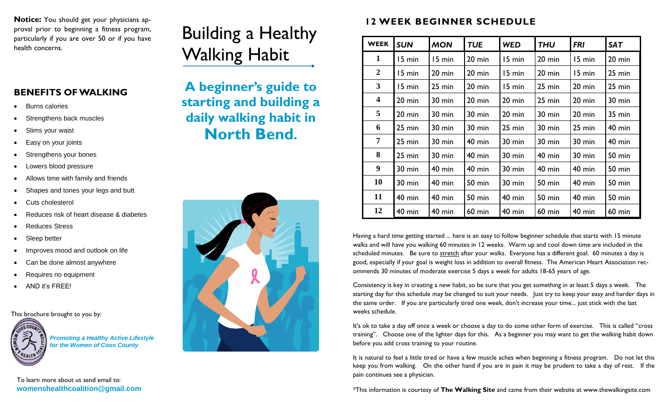**Notice:** You should get your physicians approval prior to beginning a fitness program, particularly if you are over 50 or if you have

## **BENEFITS OF WALKING**

- Burns calories
- Strengthens back muscles
- Slims your waist
- Easy on your joints
- Strengthens your bones
- Lowers blood pressure
- Allows time with family and friends
- Shapes and tones your legs and butt
- Cuts cholesterol
- Reduces risk of heart disease & diabetes
- Reduces Stress
- Sleep better
- Improves mood and outlook on life
- Can be done almost anywhere
- Requires no equipment
- AND it's FREE!

This brochure brought to you by:



*Promoting a Healthy Active Lifestyle for the Women of Coos County*

## Building a Healthy Walking Habit



## **12 WEEK BEGINNER SCHEDULE**

| particularly if you are over 50 or if you have<br>health concerns. | Dununig a Ficaluly                                                      | <b>WEEK</b>    | <b>SUN</b>       | <b>MON</b>       | <b>TUE</b>       | <b>WED</b> | <b>THU</b>       | <b>FRI</b>       | <b>SAT</b>    |
|--------------------------------------------------------------------|-------------------------------------------------------------------------|----------------|------------------|------------------|------------------|------------|------------------|------------------|---------------|
|                                                                    | <b>Walking Habit</b>                                                    |                | 15 min           | 15 min           | $20 \text{ min}$ | 15 min     | $20 \text{ min}$ | 15 min           | 20 min        |
|                                                                    |                                                                         | $\overline{2}$ | 15 min           | $20 \text{ min}$ | $20$ min         | 15 min     | $20$ min         | 15 min           | 25 min        |
| <b>BENEFITS OF WALKING</b>                                         | A beginner's guide to                                                   | $\mathbf{3}$   | 15 min           | $25 \text{ min}$ | 20 min           | 15 min     | 25 min           | 20 min           | 25 min        |
| <b>Burns calories</b>                                              | starting and building a<br>daily walking habit in<br><b>North Bend.</b> | 4              | $20 \text{ min}$ | $30 \text{ min}$ | 20 min           | 20 min     | 25 min           | 20 min           | 30 min        |
| Strengthens back muscles                                           |                                                                         | 5              | $20 \text{ min}$ | $30 \text{ min}$ | 30 min           | 20 min     | 30 min           | 20 min           | <b>35 min</b> |
| Slims your waist                                                   |                                                                         | 6              | $25 \text{ min}$ | $30 \text{ min}$ | 30 min           | 25 min     | 30 min           | $25 \text{ min}$ | <b>40 min</b> |
| Easy on your joints                                                |                                                                         |                | $25 \text{ min}$ | $30 \text{ min}$ | $40$ min         | 30 min     | $30 \text{ min}$ | 30 min           | 40 min        |
| Strengthens your bones                                             |                                                                         | 8              | $25 \text{ min}$ | $30 \text{ min}$ | $40$ min         | 30 min     | $40$ min         | 30 min           | <b>50 min</b> |
| Lowers blood pressure                                              |                                                                         | 9              | 30 min           | <b>40 min</b>    | $40$ min         | 30 min     | $40$ min         | $40$ min         | <b>50 min</b> |
| Allows time with family and friends                                |                                                                         | 10             | 30 min           | <b>40 min</b>    | <b>50 min</b>    | 30 min     | 50 min           | $40$ min         | 50 min        |
| Shapes and tones your legs and butt                                |                                                                         | 11             | $40$ min         | <b>40 min</b>    | <b>50 min</b>    | 40 min     | 50 min           | $40$ min         | 50 min        |
| Cuts cholesterol<br>Reduces risk of heart disease & diabetes       |                                                                         | 12             | $40$ min         | 40 min           | $60$ min         | $40$ min   | $60$ min         | $40$ min         | $60$ min      |

Having a hard time getting started ... here is an easy to follow beginner schedule that starts with 15 minute walks and will have you walking 60 minutes in 12 weeks. Warm up and cool down time are included in the scheduled minutes. Be sure to [stretch](http://www.thewalkingsite.com/stretching.html) after your walks. Everyone has a different goal. 60 minutes a day is good, especially if your goal is weight loss in addition to overall fitness. The American Heart Association recommends 30 minutes of moderate exercise 5 days a week for adults 18-65 years of age.

Consistency is key in creating a new habit, so be sure that you get something in at least 5 days a week. The starting day for this schedule may be changed to suit your needs. Just try to keep your easy and harder days in the same order. If you are particularly tired one week, don't increase your time... just stick with the last weeks schedule.

It's ok to take a day off once a week or choose a day to do some other form of exercise. This is called "cross training". Choose one of the lighter days for this. As a beginner you may want to get the walking habit down before you add cross training to your routine.

It is natural to feel a little tired or have a few muscle aches when beginning a fitness program. Do not let this keep you from walking. On the other hand if you are in pain it may be prudent to take a day of rest. If the pain continues see a physician.

\*This information is courtesy of **The Walking Site** and came from their website at www.thewalkingsite.com

To learn more about us send email to: **womenshealthcoalition@gmail.com**